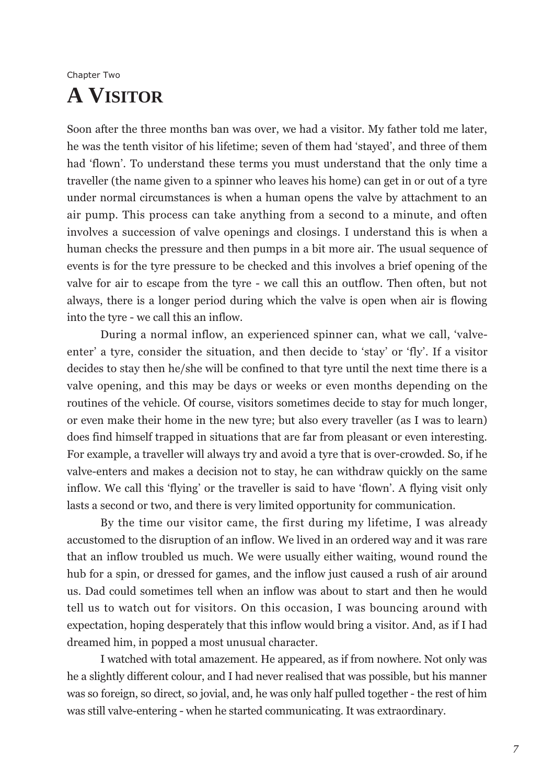## Chapter Two **A VISITOR**

Soon after the three months ban was over, we had a visitor. My father told me later, he was the tenth visitor of his lifetime; seven of them had 'stayed', and three of them had 'flown'. To understand these terms you must understand that the only time a traveller (the name given to a spinner who leaves his home) can get in or out of a tyre under normal circumstances is when a human opens the valve by attachment to an air pump. This process can take anything from a second to a minute, and often involves a succession of valve openings and closings. I understand this is when a human checks the pressure and then pumps in a bit more air. The usual sequence of events is for the tyre pressure to be checked and this involves a brief opening of the valve for air to escape from the tyre - we call this an outflow. Then often, but not always, there is a longer period during which the valve is open when air is flowing into the tyre - we call this an inflow.

During a normal inflow, an experienced spinner can, what we call, 'valveenter' a tyre, consider the situation, and then decide to 'stay' or 'fly'. If a visitor decides to stay then he/she will be confined to that tyre until the next time there is a valve opening, and this may be days or weeks or even months depending on the routines of the vehicle. Of course, visitors sometimes decide to stay for much longer, or even make their home in the new tyre; but also every traveller (as I was to learn) does find himself trapped in situations that are far from pleasant or even interesting. For example, a traveller will always try and avoid a tyre that is over-crowded. So, if he valve-enters and makes a decision not to stay, he can withdraw quickly on the same inflow. We call this 'flying' or the traveller is said to have 'flown'. A flying visit only lasts a second or two, and there is very limited opportunity for communication.

By the time our visitor came, the first during my lifetime, I was already accustomed to the disruption of an inflow. We lived in an ordered way and it was rare that an inflow troubled us much. We were usually either waiting, wound round the hub for a spin, or dressed for games, and the inflow just caused a rush of air around us. Dad could sometimes tell when an inflow was about to start and then he would tell us to watch out for visitors. On this occasion, I was bouncing around with expectation, hoping desperately that this inflow would bring a visitor. And, as if I had dreamed him, in popped a most unusual character.

I watched with total amazement. He appeared, as if from nowhere. Not only was he a slightly different colour, and I had never realised that was possible, but his manner was so foreign, so direct, so jovial, and, he was only half pulled together - the rest of him was still valve-entering - when he started communicating. It was extraordinary.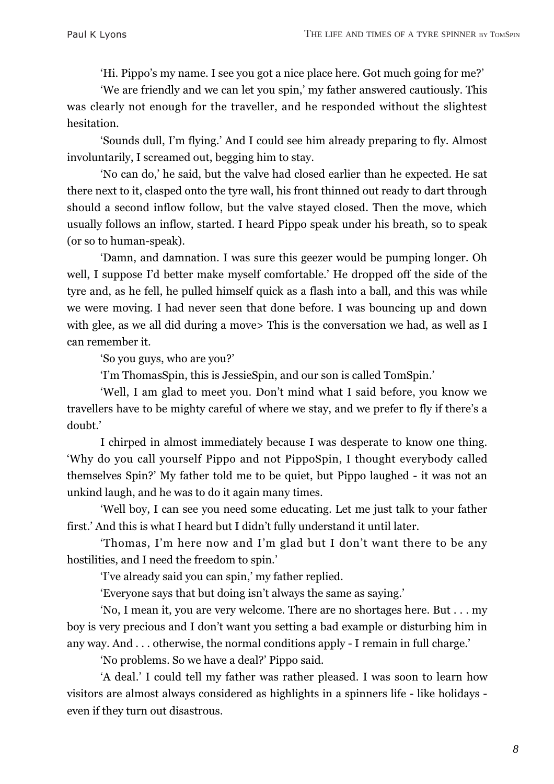'Hi. Pippo's my name. I see you got a nice place here. Got much going for me?'

'We are friendly and we can let you spin,' my father answered cautiously. This was clearly not enough for the traveller, and he responded without the slightest hesitation.

'Sounds dull, I'm flying.' And I could see him already preparing to fly. Almost involuntarily, I screamed out, begging him to stay.

'No can do,' he said, but the valve had closed earlier than he expected. He sat there next to it, clasped onto the tyre wall, his front thinned out ready to dart through should a second inflow follow, but the valve stayed closed. Then the move, which usually follows an inflow, started. I heard Pippo speak under his breath, so to speak (or so to human-speak).

'Damn, and damnation. I was sure this geezer would be pumping longer. Oh well, I suppose I'd better make myself comfortable.' He dropped off the side of the tyre and, as he fell, he pulled himself quick as a flash into a ball, and this was while we were moving. I had never seen that done before. I was bouncing up and down with glee, as we all did during a move> This is the conversation we had, as well as I can remember it.

'So you guys, who are you?'

'I'm ThomasSpin, this is JessieSpin, and our son is called TomSpin.'

'Well, I am glad to meet you. Don't mind what I said before, you know we travellers have to be mighty careful of where we stay, and we prefer to fly if there's a doubt.'

I chirped in almost immediately because I was desperate to know one thing. 'Why do you call yourself Pippo and not PippoSpin, I thought everybody called themselves Spin?' My father told me to be quiet, but Pippo laughed - it was not an unkind laugh, and he was to do it again many times.

'Well boy, I can see you need some educating. Let me just talk to your father first.' And this is what I heard but I didn't fully understand it until later.

'Thomas, I'm here now and I'm glad but I don't want there to be any hostilities, and I need the freedom to spin.'

'I've already said you can spin,' my father replied.

'Everyone says that but doing isn't always the same as saying.'

'No, I mean it, you are very welcome. There are no shortages here. But . . . my boy is very precious and I don't want you setting a bad example or disturbing him in any way. And . . . otherwise, the normal conditions apply - I remain in full charge.'

'No problems. So we have a deal?' Pippo said.

'A deal.' I could tell my father was rather pleased. I was soon to learn how visitors are almost always considered as highlights in a spinners life - like holidays even if they turn out disastrous.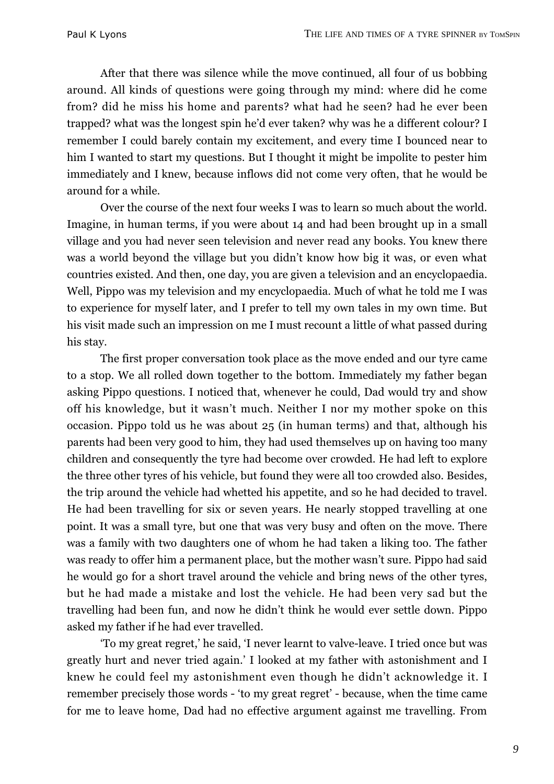After that there was silence while the move continued, all four of us bobbing around. All kinds of questions were going through my mind: where did he come from? did he miss his home and parents? what had he seen? had he ever been trapped? what was the longest spin he'd ever taken? why was he a different colour? I remember I could barely contain my excitement, and every time I bounced near to him I wanted to start my questions. But I thought it might be impolite to pester him immediately and I knew, because inflows did not come very often, that he would be around for a while.

Over the course of the next four weeks I was to learn so much about the world. Imagine, in human terms, if you were about 14 and had been brought up in a small village and you had never seen television and never read any books. You knew there was a world beyond the village but you didn't know how big it was, or even what countries existed. And then, one day, you are given a television and an encyclopaedia. Well, Pippo was my television and my encyclopaedia. Much of what he told me I was to experience for myself later, and I prefer to tell my own tales in my own time. But his visit made such an impression on me I must recount a little of what passed during his stay.

The first proper conversation took place as the move ended and our tyre came to a stop. We all rolled down together to the bottom. Immediately my father began asking Pippo questions. I noticed that, whenever he could, Dad would try and show off his knowledge, but it wasn't much. Neither I nor my mother spoke on this occasion. Pippo told us he was about 25 (in human terms) and that, although his parents had been very good to him, they had used themselves up on having too many children and consequently the tyre had become over crowded. He had left to explore the three other tyres of his vehicle, but found they were all too crowded also. Besides, the trip around the vehicle had whetted his appetite, and so he had decided to travel. He had been travelling for six or seven years. He nearly stopped travelling at one point. It was a small tyre, but one that was very busy and often on the move. There was a family with two daughters one of whom he had taken a liking too. The father was ready to offer him a permanent place, but the mother wasn't sure. Pippo had said he would go for a short travel around the vehicle and bring news of the other tyres, but he had made a mistake and lost the vehicle. He had been very sad but the travelling had been fun, and now he didn't think he would ever settle down. Pippo asked my father if he had ever travelled.

'To my great regret,' he said, 'I never learnt to valve-leave. I tried once but was greatly hurt and never tried again.' I looked at my father with astonishment and I knew he could feel my astonishment even though he didn't acknowledge it. I remember precisely those words - 'to my great regret' - because, when the time came for me to leave home, Dad had no effective argument against me travelling. From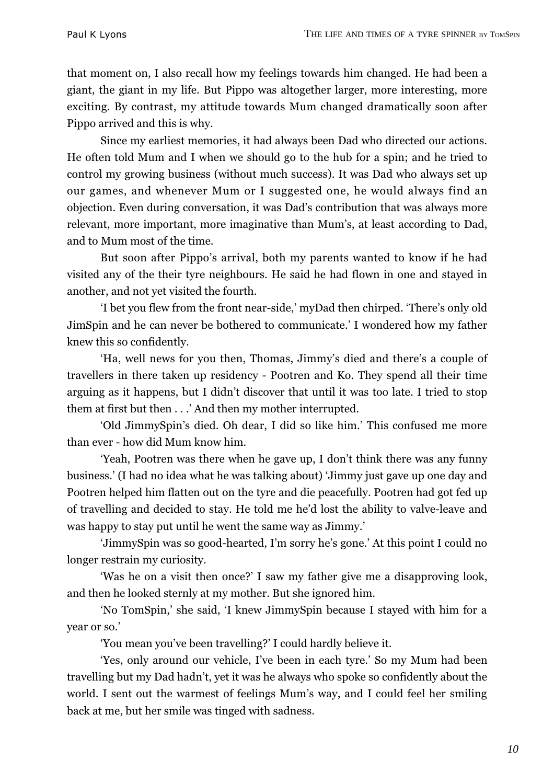that moment on, I also recall how my feelings towards him changed. He had been a giant, the giant in my life. But Pippo was altogether larger, more interesting, more exciting. By contrast, my attitude towards Mum changed dramatically soon after Pippo arrived and this is why.

Since my earliest memories, it had always been Dad who directed our actions. He often told Mum and I when we should go to the hub for a spin; and he tried to control my growing business (without much success). It was Dad who always set up our games, and whenever Mum or I suggested one, he would always find an objection. Even during conversation, it was Dad's contribution that was always more relevant, more important, more imaginative than Mum's, at least according to Dad, and to Mum most of the time.

But soon after Pippo's arrival, both my parents wanted to know if he had visited any of the their tyre neighbours. He said he had flown in one and stayed in another, and not yet visited the fourth.

'I bet you flew from the front near-side,' myDad then chirped. 'There's only old JimSpin and he can never be bothered to communicate.' I wondered how my father knew this so confidently.

'Ha, well news for you then, Thomas, Jimmy's died and there's a couple of travellers in there taken up residency - Pootren and Ko. They spend all their time arguing as it happens, but I didn't discover that until it was too late. I tried to stop them at first but then . . .' And then my mother interrupted.

'Old JimmySpin's died. Oh dear, I did so like him.' This confused me more than ever - how did Mum know him.

'Yeah, Pootren was there when he gave up, I don't think there was any funny business.' (I had no idea what he was talking about) 'Jimmy just gave up one day and Pootren helped him flatten out on the tyre and die peacefully. Pootren had got fed up of travelling and decided to stay. He told me he'd lost the ability to valve-leave and was happy to stay put until he went the same way as Jimmy.'

'JimmySpin was so good-hearted, I'm sorry he's gone.' At this point I could no longer restrain my curiosity.

'Was he on a visit then once?' I saw my father give me a disapproving look, and then he looked sternly at my mother. But she ignored him.

'No TomSpin,' she said, 'I knew JimmySpin because I stayed with him for a year or so.'

'You mean you've been travelling?' I could hardly believe it.

'Yes, only around our vehicle, I've been in each tyre.' So my Mum had been travelling but my Dad hadn't, yet it was he always who spoke so confidently about the world. I sent out the warmest of feelings Mum's way, and I could feel her smiling back at me, but her smile was tinged with sadness.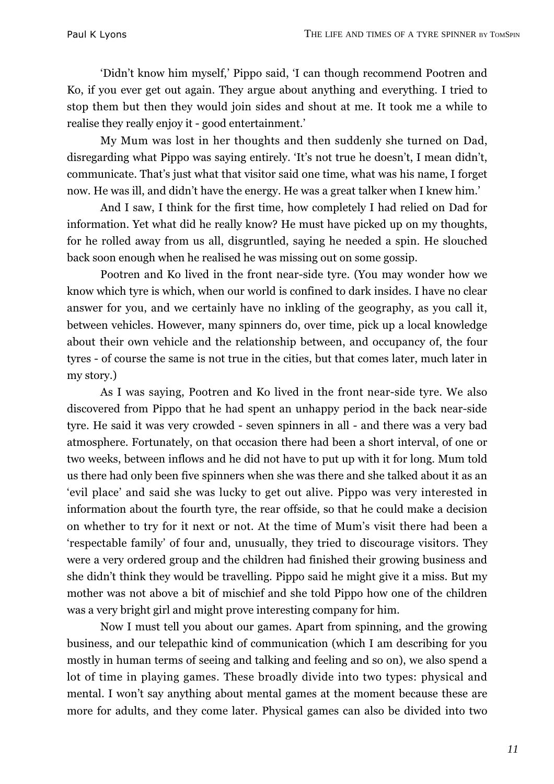'Didn't know him myself,' Pippo said, 'I can though recommend Pootren and Ko, if you ever get out again. They argue about anything and everything. I tried to stop them but then they would join sides and shout at me. It took me a while to realise they really enjoy it - good entertainment.'

My Mum was lost in her thoughts and then suddenly she turned on Dad, disregarding what Pippo was saying entirely. 'It's not true he doesn't, I mean didn't, communicate. That's just what that visitor said one time, what was his name, I forget now. He was ill, and didn't have the energy. He was a great talker when I knew him.'

And I saw, I think for the first time, how completely I had relied on Dad for information. Yet what did he really know? He must have picked up on my thoughts, for he rolled away from us all, disgruntled, saying he needed a spin. He slouched back soon enough when he realised he was missing out on some gossip.

Pootren and Ko lived in the front near-side tyre. (You may wonder how we know which tyre is which, when our world is confined to dark insides. I have no clear answer for you, and we certainly have no inkling of the geography, as you call it, between vehicles. However, many spinners do, over time, pick up a local knowledge about their own vehicle and the relationship between, and occupancy of, the four tyres - of course the same is not true in the cities, but that comes later, much later in my story.)

As I was saying, Pootren and Ko lived in the front near-side tyre. We also discovered from Pippo that he had spent an unhappy period in the back near-side tyre. He said it was very crowded - seven spinners in all - and there was a very bad atmosphere. Fortunately, on that occasion there had been a short interval, of one or two weeks, between inflows and he did not have to put up with it for long. Mum told us there had only been five spinners when she was there and she talked about it as an 'evil place' and said she was lucky to get out alive. Pippo was very interested in information about the fourth tyre, the rear offside, so that he could make a decision on whether to try for it next or not. At the time of Mum's visit there had been a 'respectable family' of four and, unusually, they tried to discourage visitors. They were a very ordered group and the children had finished their growing business and she didn't think they would be travelling. Pippo said he might give it a miss. But my mother was not above a bit of mischief and she told Pippo how one of the children was a very bright girl and might prove interesting company for him.

Now I must tell you about our games. Apart from spinning, and the growing business, and our telepathic kind of communication (which I am describing for you mostly in human terms of seeing and talking and feeling and so on), we also spend a lot of time in playing games. These broadly divide into two types: physical and mental. I won't say anything about mental games at the moment because these are more for adults, and they come later. Physical games can also be divided into two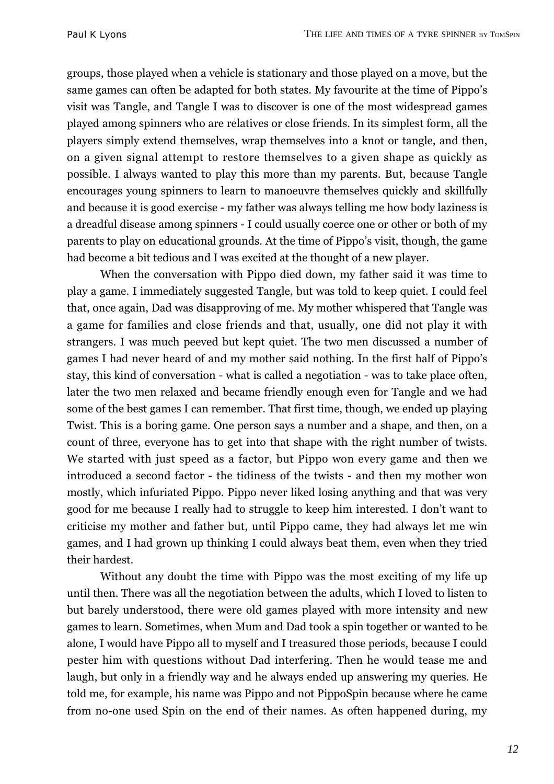groups, those played when a vehicle is stationary and those played on a move, but the same games can often be adapted for both states. My favourite at the time of Pippo's visit was Tangle, and Tangle I was to discover is one of the most widespread games played among spinners who are relatives or close friends. In its simplest form, all the players simply extend themselves, wrap themselves into a knot or tangle, and then, on a given signal attempt to restore themselves to a given shape as quickly as possible. I always wanted to play this more than my parents. But, because Tangle encourages young spinners to learn to manoeuvre themselves quickly and skillfully and because it is good exercise - my father was always telling me how body laziness is a dreadful disease among spinners - I could usually coerce one or other or both of my parents to play on educational grounds. At the time of Pippo's visit, though, the game had become a bit tedious and I was excited at the thought of a new player.

When the conversation with Pippo died down, my father said it was time to play a game. I immediately suggested Tangle, but was told to keep quiet. I could feel that, once again, Dad was disapproving of me. My mother whispered that Tangle was a game for families and close friends and that, usually, one did not play it with strangers. I was much peeved but kept quiet. The two men discussed a number of games I had never heard of and my mother said nothing. In the first half of Pippo's stay, this kind of conversation - what is called a negotiation - was to take place often, later the two men relaxed and became friendly enough even for Tangle and we had some of the best games I can remember. That first time, though, we ended up playing Twist. This is a boring game. One person says a number and a shape, and then, on a count of three, everyone has to get into that shape with the right number of twists. We started with just speed as a factor, but Pippo won every game and then we introduced a second factor - the tidiness of the twists - and then my mother won mostly, which infuriated Pippo. Pippo never liked losing anything and that was very good for me because I really had to struggle to keep him interested. I don't want to criticise my mother and father but, until Pippo came, they had always let me win games, and I had grown up thinking I could always beat them, even when they tried their hardest.

Without any doubt the time with Pippo was the most exciting of my life up until then. There was all the negotiation between the adults, which I loved to listen to but barely understood, there were old games played with more intensity and new games to learn. Sometimes, when Mum and Dad took a spin together or wanted to be alone, I would have Pippo all to myself and I treasured those periods, because I could pester him with questions without Dad interfering. Then he would tease me and laugh, but only in a friendly way and he always ended up answering my queries. He told me, for example, his name was Pippo and not PippoSpin because where he came from no-one used Spin on the end of their names. As often happened during, my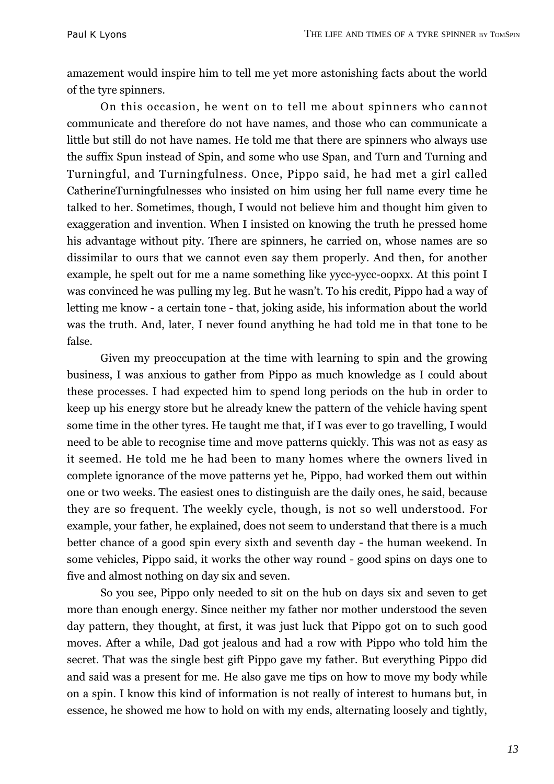amazement would inspire him to tell me yet more astonishing facts about the world of the tyre spinners.

On this occasion, he went on to tell me about spinners who cannot communicate and therefore do not have names, and those who can communicate a little but still do not have names. He told me that there are spinners who always use the suffix Spun instead of Spin, and some who use Span, and Turn and Turning and Turningful, and Turningfulness. Once, Pippo said, he had met a girl called CatherineTurningfulnesses who insisted on him using her full name every time he talked to her. Sometimes, though, I would not believe him and thought him given to exaggeration and invention. When I insisted on knowing the truth he pressed home his advantage without pity. There are spinners, he carried on, whose names are so dissimilar to ours that we cannot even say them properly. And then, for another example, he spelt out for me a name something like yycc-yycc-oopxx. At this point I was convinced he was pulling my leg. But he wasn't. To his credit, Pippo had a way of letting me know - a certain tone - that, joking aside, his information about the world was the truth. And, later, I never found anything he had told me in that tone to be false.

Given my preoccupation at the time with learning to spin and the growing business, I was anxious to gather from Pippo as much knowledge as I could about these processes. I had expected him to spend long periods on the hub in order to keep up his energy store but he already knew the pattern of the vehicle having spent some time in the other tyres. He taught me that, if I was ever to go travelling, I would need to be able to recognise time and move patterns quickly. This was not as easy as it seemed. He told me he had been to many homes where the owners lived in complete ignorance of the move patterns yet he, Pippo, had worked them out within one or two weeks. The easiest ones to distinguish are the daily ones, he said, because they are so frequent. The weekly cycle, though, is not so well understood. For example, your father, he explained, does not seem to understand that there is a much better chance of a good spin every sixth and seventh day - the human weekend. In some vehicles, Pippo said, it works the other way round - good spins on days one to five and almost nothing on day six and seven.

So you see, Pippo only needed to sit on the hub on days six and seven to get more than enough energy. Since neither my father nor mother understood the seven day pattern, they thought, at first, it was just luck that Pippo got on to such good moves. After a while, Dad got jealous and had a row with Pippo who told him the secret. That was the single best gift Pippo gave my father. But everything Pippo did and said was a present for me. He also gave me tips on how to move my body while on a spin. I know this kind of information is not really of interest to humans but, in essence, he showed me how to hold on with my ends, alternating loosely and tightly,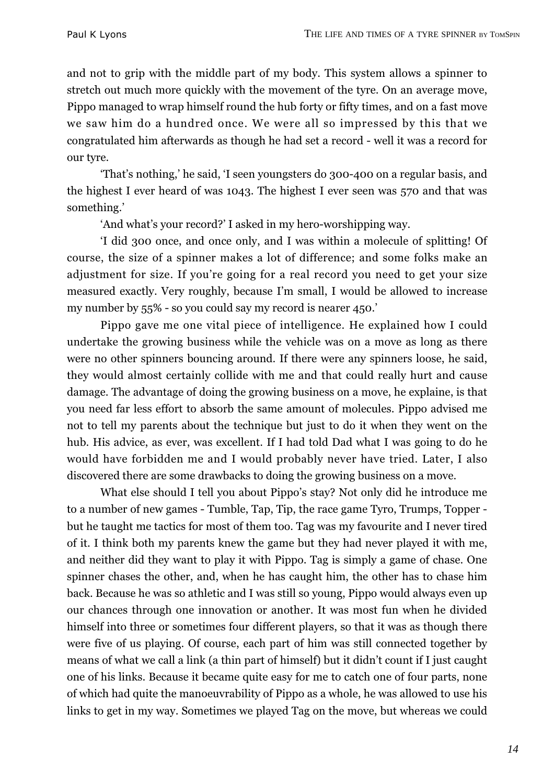and not to grip with the middle part of my body. This system allows a spinner to stretch out much more quickly with the movement of the tyre. On an average move, Pippo managed to wrap himself round the hub forty or fifty times, and on a fast move we saw him do a hundred once. We were all so impressed by this that we congratulated him afterwards as though he had set a record - well it was a record for our tyre.

'That's nothing,' he said, 'I seen youngsters do 300-400 on a regular basis, and the highest I ever heard of was 1043. The highest I ever seen was 570 and that was something.'

'And what's your record?' I asked in my hero-worshipping way.

'I did 300 once, and once only, and I was within a molecule of splitting! Of course, the size of a spinner makes a lot of difference; and some folks make an adjustment for size. If you're going for a real record you need to get your size measured exactly. Very roughly, because I'm small, I would be allowed to increase my number by 55% - so you could say my record is nearer 450.'

Pippo gave me one vital piece of intelligence. He explained how I could undertake the growing business while the vehicle was on a move as long as there were no other spinners bouncing around. If there were any spinners loose, he said, they would almost certainly collide with me and that could really hurt and cause damage. The advantage of doing the growing business on a move, he explaine, is that you need far less effort to absorb the same amount of molecules. Pippo advised me not to tell my parents about the technique but just to do it when they went on the hub. His advice, as ever, was excellent. If I had told Dad what I was going to do he would have forbidden me and I would probably never have tried. Later, I also discovered there are some drawbacks to doing the growing business on a move.

What else should I tell you about Pippo's stay? Not only did he introduce me to a number of new games - Tumble, Tap, Tip, the race game Tyro, Trumps, Topper but he taught me tactics for most of them too. Tag was my favourite and I never tired of it. I think both my parents knew the game but they had never played it with me, and neither did they want to play it with Pippo. Tag is simply a game of chase. One spinner chases the other, and, when he has caught him, the other has to chase him back. Because he was so athletic and I was still so young, Pippo would always even up our chances through one innovation or another. It was most fun when he divided himself into three or sometimes four different players, so that it was as though there were five of us playing. Of course, each part of him was still connected together by means of what we call a link (a thin part of himself) but it didn't count if I just caught one of his links. Because it became quite easy for me to catch one of four parts, none of which had quite the manoeuvrability of Pippo as a whole, he was allowed to use his links to get in my way. Sometimes we played Tag on the move, but whereas we could